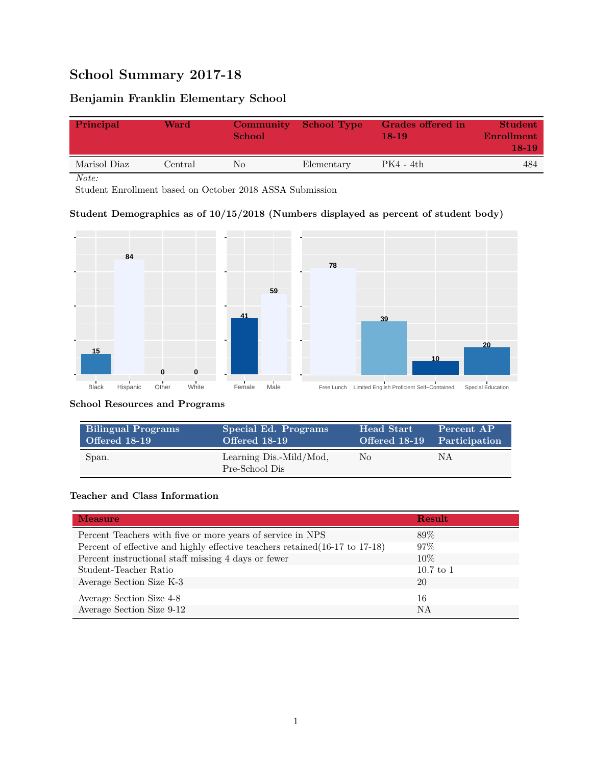# **School Summary 2017-18**

# **Benjamin Franklin Elementary School**

| Principal    | Ward          | Community<br>School | School Type | Grades offered in<br>18-19 | <b>Student</b><br>Enrollment<br>$18-19$ |
|--------------|---------------|---------------------|-------------|----------------------------|-----------------------------------------|
| Marisol Diaz | $\rm Central$ | No                  | Elementary  | PK4 - 4th                  | 484                                     |
| Note:        |               |                     |             |                            |                                         |

Student Enrollment based on October 2018 ASSA Submission

### **Student Demographics as of 10/15/2018 (Numbers displayed as percent of student body)**



#### **School Resources and Programs**

| <b>Bilingual Programs</b> | Special Ed. Programs                      | Head Start | Percent AP                  |
|---------------------------|-------------------------------------------|------------|-----------------------------|
| <b>Offered 18-19</b>      | Offered 18-19                             |            | Offered 18-19 Participation |
| Span.                     | Learning Dis.-Mild/Mod,<br>Pre-School Dis | No         | ΝA                          |

### **Teacher and Class Information**

| <b>Measure</b>                                                               | Result      |
|------------------------------------------------------------------------------|-------------|
| Percent Teachers with five or more years of service in NPS                   | 89%         |
| Percent of effective and highly effective teachers retained (16-17 to 17-18) | $97\%$      |
| Percent instructional staff missing 4 days or fewer                          | $10\%$      |
| Student-Teacher Ratio                                                        | $10.7$ to 1 |
| Average Section Size K-3                                                     | 20          |
| Average Section Size 4-8                                                     | 16          |
| Average Section Size 9-12                                                    | NA          |